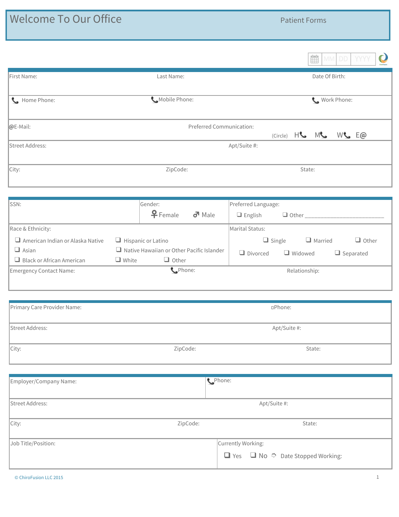| <b>Welcome To Our Office</b>                     |                                                                                  | <b>Patient Forms</b>                                                           |
|--------------------------------------------------|----------------------------------------------------------------------------------|--------------------------------------------------------------------------------|
|                                                  |                                                                                  |                                                                                |
|                                                  |                                                                                  | É.<br>MM<br>DD.<br><b>YYYY</b>                                                 |
| First Name:                                      | Last Name:                                                                       | Date Of Birth:                                                                 |
| Home Phone:                                      | Mobile Phone:                                                                    | Work Phone:                                                                    |
| @E-Mail:                                         |                                                                                  | Preferred Communication:<br>$(Circle)$ $H_{\bullet}$ $M_{\bullet}$<br>$W$ $E@$ |
| Street Address:                                  |                                                                                  | Apt/Suite #:                                                                   |
| City:                                            | ZipCode:                                                                         | State:                                                                         |
|                                                  |                                                                                  |                                                                                |
| SSN:                                             | Gender:<br>$P$ Female<br>$\sigma$ <sup>1</sup> Male                              | Preferred Language:<br>$\Box$ English                                          |
| Race & Ethnicity:                                |                                                                                  | Marital Status:                                                                |
| $\Box$ American Indian or Alaska Native          | $\Box$ Hispanic or Latino                                                        | $\Box$ Ot<br>$\Box$ Single<br>$\Box$ Married                                   |
| $\Box$ Asian<br>$\Box$ Black or African American | $\Box$ Native Hawaiian or Other Pacific Islander<br>$\Box$ Other<br>$\Box$ White | $\Box$ Divorced<br>Widowed<br>$\Box$ Separated                                 |
| <b>Emergency Contact Name:</b>                   | CPhone:                                                                          | Relationship:                                                                  |
|                                                  |                                                                                  |                                                                                |
| Primary Care Provider Name:                      |                                                                                  | □Phone:                                                                        |
| Street Address:                                  |                                                                                  | Apt/Suite #:                                                                   |
| City:                                            | ZipCode:                                                                         | State:                                                                         |

| Employer/Company Name: | CPhone:                                               |
|------------------------|-------------------------------------------------------|
| Street Address:        | Apt/Suite #:                                          |
| City:<br>ZipCode:      | State:                                                |
| Job Title/Position:    | Currently Working:                                    |
|                        | $\Box$ Yes $\Box$ No $\Diamond$ Date Stopped Working: |

 $\mathbf{C}$ 

❑ Single ❑ Married ❑ Other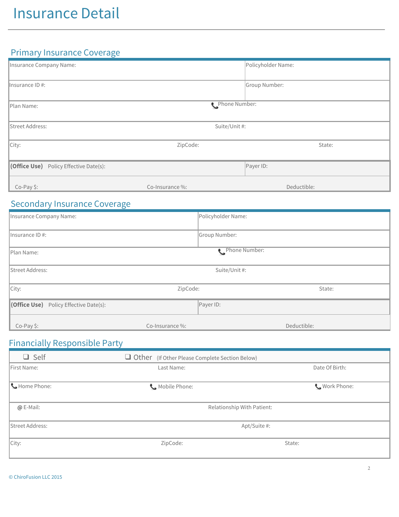### Primary Insurance Coverage

| Insurance Company Name:                       |                 | Policyholder Name: |  |
|-----------------------------------------------|-----------------|--------------------|--|
| Insurance ID #:                               |                 | Group Number:      |  |
| Plan Name:                                    |                 | Phone Number:      |  |
| Street Address:                               | Suite/Unit #:   |                    |  |
| City:                                         | ZipCode:        | State:             |  |
| <b>(Office Use)</b> Policy Effective Date(s): |                 | Payer ID:          |  |
| Co-Pay \$:                                    | Co-Insurance %: | Deductible:        |  |

### Secondary Insurance Coverage

| Insurance Company Name:                       |                 | Policyholder Name: |  |
|-----------------------------------------------|-----------------|--------------------|--|
| $\parallel$ Insurance ID #:                   |                 | Group Number:      |  |
| Phone Number:<br>Plan Name:                   |                 |                    |  |
| Street Address:                               | Suite/Unit #:   |                    |  |
| City:                                         | ZipCode:        | State:             |  |
| <b>(Office Use)</b> Policy Effective Date(s): |                 | Payer ID:          |  |
| Co-Pay \$:                                    | Co-Insurance %: | Deductible:        |  |

### Financially Responsible Party

| $\Box$ Self     | Other (If Other Please Complete Section Below) |                |
|-----------------|------------------------------------------------|----------------|
| First Name:     | Last Name:                                     | Date Of Birth: |
| Home Phone:     | Mobile Phone:                                  | Work Phone:    |
| @ E-Mail:       | Relationship With Patient:                     |                |
| Street Address: | Apt/Suite #:                                   |                |
| $\vert$ City:   | ZipCode:                                       | State:         |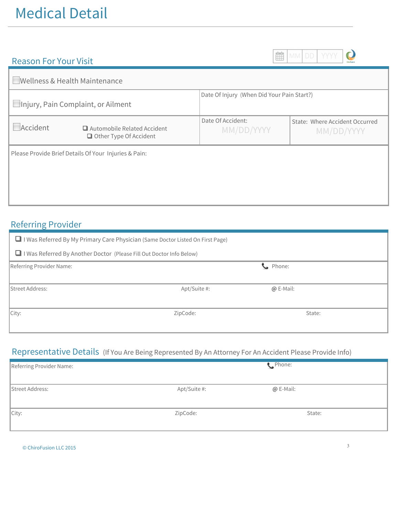#### Reason For Your Visit

THE MM DD

 $\mathbf{C}$ 

|          | Wellness & Health Maintenance                                       |                                            |                                              |
|----------|---------------------------------------------------------------------|--------------------------------------------|----------------------------------------------|
|          | Injury, Pain Complaint, or Ailment                                  | Date Of Injury (When Did Your Pain Start?) |                                              |
| Accident | $\Box$ Automobile Related Accident<br>$\Box$ Other Type Of Accident | Date Of Accident:<br>MM/DD/YYYY            | State: Where Accident Occurred<br>MM/DD/YYYY |
|          | Please Provide Brief Details Of Your Injuries & Pain:               |                                            |                                              |

### Referring Provider

| $\Box$ I Was Referred By My Primary Care Physician (Same Doctor Listed On First Page) |              |                 |  |
|---------------------------------------------------------------------------------------|--------------|-----------------|--|
| I I Was Referred By Another Doctor (Please Fill Out Doctor Info Below)                |              |                 |  |
| Referring Provider Name:                                                              |              | Competer Phone: |  |
| <b>Street Address:</b>                                                                | Apt/Suite #: | $@E-Mail:$      |  |
| City:                                                                                 | ZipCode:     | State:          |  |

### Representative Details (If You Are Being Represented By An Attorney For An Accident Please Provide Info)

| Referring Provider Name: |              | C Phone:  |  |
|--------------------------|--------------|-----------|--|
| Street Address:          | Apt/Suite #: | @ E-Mail: |  |
| City:                    | ZipCode:     | State:    |  |